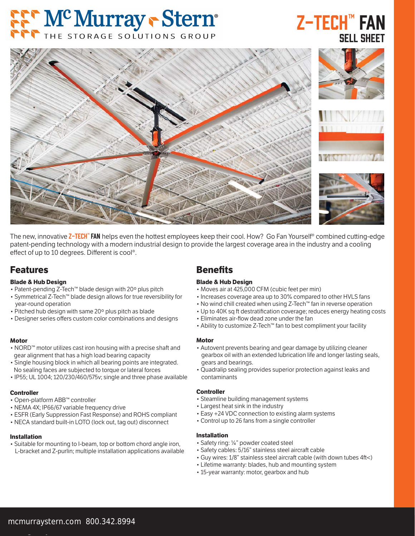# **MC Murray - Stern**

# Z-Tech™ Fan Sell sheet



The new, innovative Z-TECH<sup>™</sup> FAN helps even the hottest employees keep their cool. How? Go Fan Yourself® combined cutting-edge patent-pending technology with a modern industrial design to provide the largest coverage area in the industry and a cooling effect of up to 10 degrees. Different is cool®.

# **Features**

# **Blade & Hub Design**

- Patent-pending Z-Tech™ blade design with 20º plus pitch
- Symmetrical Z-Tech™ blade design allows for true reversibility for year-round operation
- Pitched hub design with same 20º plus pitch as blade
- Designer series offers custom color combinations and designs

## **Motor**

- NORD™ motor utilizes cast iron housing with a precise shaft and gear alignment that has a high load bearing capacity
- Single housing block in which all bearing points are integrated. No sealing faces are subjected to torque or lateral forces
- IP55; UL 1004; 120/230/460/575v; single and three phase available

## **Controller**

- Open-platform ABB™ controller
- NEMA 4X: IP66/67 variable frequency drive
- ESFR (Early Suppression Fast Response) and ROHS compliant
- NECA standard built-in LOTO (lock out, tag out) disconnect

## **Installation**

• Suitable for mounting to I-beam, top or bottom chord angle iron, L-bracket and Z-purlin; multiple installation applications available

# **Benefits**

# **Blade & Hub Design**

- Moves air at 425,000 CFM (cubic feet per min)
- Increases coverage area up to 30% compared to other HVLS fans
- No wind chill created when using Z-Tech™ fan in reverse operation
- Up to 40K sq ft destratification coverage; reduces energy heating costs
- Eliminates air-flow dead zone under the fan
- Ability to customize Z-Tech™ fan to best compliment your facility

## **Motor**

- Autovent prevents bearing and gear damage by utilizing cleaner gearbox oil with an extended lubrication life and longer lasting seals, gears and bearings.
- Quadralip sealing provides superior protection against leaks and contaminants

## **Controller**

- Steamline building management systems
- Largest heat sink in the industry
- Easy +24 VDC connection to existing alarm systems
- Control up to 26 fans from a single controller

## **Installation**

- Safety ring: ¼" powder coated steel
- Safety cables: 5/16" stainless steel aircraft cable
- Guy wires:  $1/8$ " stainless steel aircraft cable (with down tubes  $4ft$  <)
- Lifetime warranty: blades, hub and mounting system
- 15-year warranty: motor, gearbox and hub